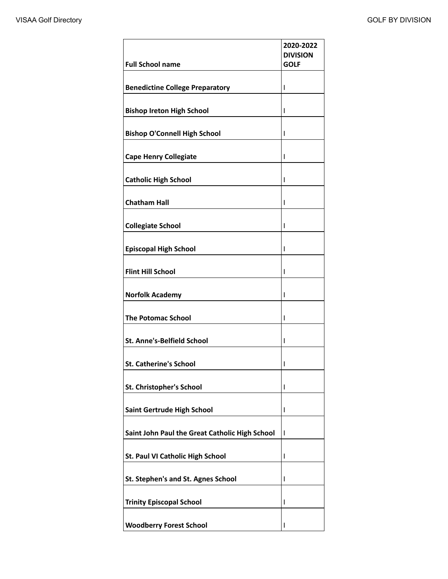| <b>Full School name</b>                        | 2020-2022<br><b>DIVISION</b><br><b>GOLF</b> |
|------------------------------------------------|---------------------------------------------|
|                                                |                                             |
| <b>Benedictine College Preparatory</b>         | T                                           |
| <b>Bishop Ireton High School</b>               | ı                                           |
| <b>Bishop O'Connell High School</b>            | ı                                           |
| <b>Cape Henry Collegiate</b>                   | I                                           |
| <b>Catholic High School</b>                    | I                                           |
| <b>Chatham Hall</b>                            | I                                           |
| <b>Collegiate School</b>                       | ı                                           |
| <b>Episcopal High School</b>                   | I                                           |
| <b>Flint Hill School</b>                       | I                                           |
| <b>Norfolk Academy</b>                         | I                                           |
| <b>The Potomac School</b>                      | I                                           |
| <b>St. Anne's-Belfield School</b>              | L                                           |
| <b>St. Catherine's School</b>                  | ı                                           |
| St. Christopher's School                       | ı                                           |
| Saint Gertrude High School                     | ı                                           |
| Saint John Paul the Great Catholic High School | $\mathbf{I}$                                |
| St. Paul VI Catholic High School               | T                                           |
| St. Stephen's and St. Agnes School             | ı                                           |
| <b>Trinity Episcopal School</b>                | ı                                           |
| <b>Woodberry Forest School</b>                 |                                             |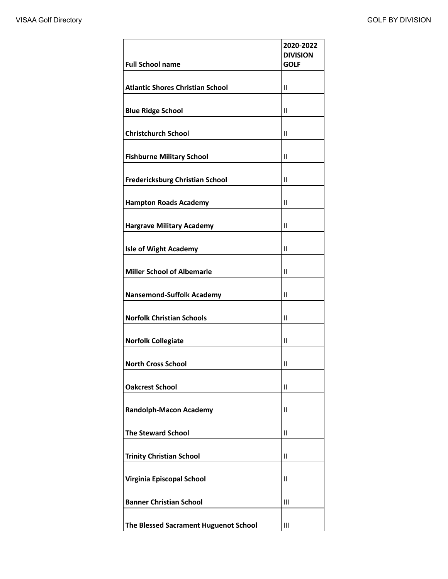| <b>Full School name</b>                 | 2020-2022<br><b>DIVISION</b><br><b>GOLF</b> |
|-----------------------------------------|---------------------------------------------|
| <b>Atlantic Shores Christian School</b> | $\mathbf{I}$                                |
| <b>Blue Ridge School</b>                | $\mathsf{II}$                               |
| <b>Christchurch School</b>              | Ш                                           |
| <b>Fishburne Military School</b>        | $\mathbf{I}$                                |
| <b>Fredericksburg Christian School</b>  | $\mathbf{I}$                                |
| <b>Hampton Roads Academy</b>            | $\mathsf{II}$                               |
| <b>Hargrave Military Academy</b>        | $\mathsf{II}$                               |
| <b>Isle of Wight Academy</b>            | $\mathbf{I}$                                |
| <b>Miller School of Albemarle</b>       | $\mathbf{II}$                               |
| <b>Nansemond-Suffolk Academy</b>        | Ш                                           |
| <b>Norfolk Christian Schools</b>        | Ш                                           |
| <b>Norfolk Collegiate</b>               | $\mathbf{II}$                               |
| <b>North Cross School</b>               | $\mathsf{II}$                               |
| <b>Oakcrest School</b>                  | $\mathsf{II}$                               |
| <b>Randolph-Macon Academy</b>           | Ш                                           |
| <b>The Steward School</b>               | $\mathbf{II}$                               |
| <b>Trinity Christian School</b>         | $\mathbf{I}$                                |
| Virginia Episcopal School               | $\mathbf{II}$                               |
| <b>Banner Christian School</b>          | Ш                                           |
| The Blessed Sacrament Huguenot School   | Ш                                           |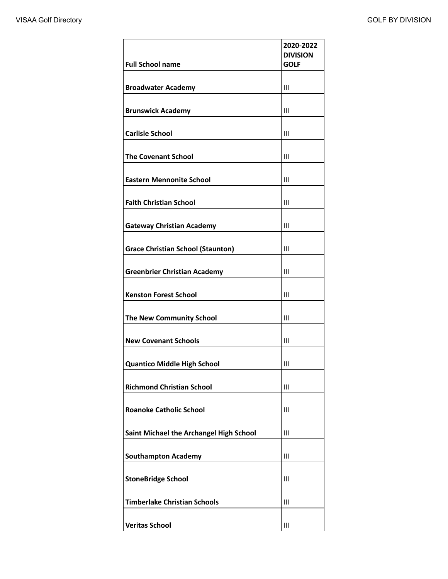|                                          | 2020-2022<br><b>DIVISION</b> |
|------------------------------------------|------------------------------|
| <b>Full School name</b>                  | <b>GOLF</b>                  |
| <b>Broadwater Academy</b>                | Ш                            |
| <b>Brunswick Academy</b>                 | Ш                            |
| <b>Carlisle School</b>                   | Ш                            |
| <b>The Covenant School</b>               | Ш                            |
| <b>Eastern Mennonite School</b>          | Ш                            |
| <b>Faith Christian School</b>            | Ш                            |
| <b>Gateway Christian Academy</b>         | Ш                            |
| <b>Grace Christian School (Staunton)</b> | Ш                            |
| <b>Greenbrier Christian Academy</b>      | III                          |
| <b>Kenston Forest School</b>             | Ш                            |
| <b>The New Community School</b>          | Ш                            |
| <b>New Covenant Schools</b>              | Ш                            |
| <b>Quantico Middle High School</b>       | $\mathbf{III}$               |
| <b>Richmond Christian School</b>         | Ш                            |
| <b>Roanoke Catholic School</b>           | Ш                            |
| Saint Michael the Archangel High School  | Ш                            |
| <b>Southampton Academy</b>               | Ш                            |
| <b>StoneBridge School</b>                | Ш                            |
| <b>Timberlake Christian Schools</b>      | Ш                            |
| <b>Veritas School</b>                    | Ш                            |